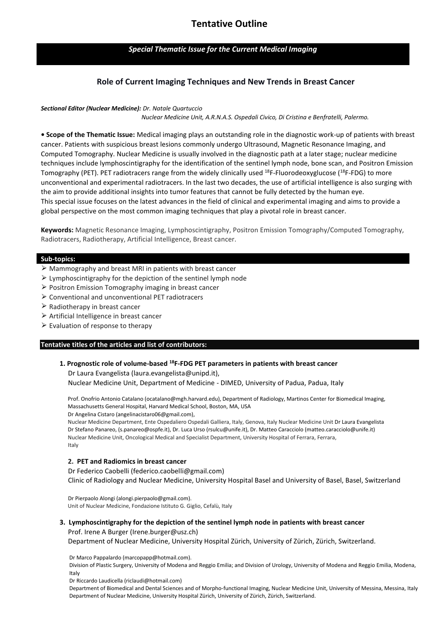# *Special Thematic Issue for the Current Medical Imaging*

# **Role of Current Imaging Techniques and New Trends in Breast Cancer**

## *Sectional Editor (Nuclear Medicine): Dr. Natale Quartuccio*

 *Nuclear Medicine Unit, A.R.N.A.S. Ospedali Civico, Di Cristina e Benfratelli, Palermo.*

**• Scope of the Thematic Issue:** Medical imaging plays an outstanding role in the diagnostic work-up of patients with breast cancer. Patients with suspicious breast lesions commonly undergo Ultrasound, Magnetic Resonance Imaging, and Computed Tomography. Nuclear Medicine is usually involved in the diagnostic path at a later stage; nuclear medicine techniques include lymphoscintigraphy for the identification of the sentinel lymph node, bone scan, and Positron Emission Tomography (PET). PET radiotracers range from the widely clinically used <sup>18</sup>F-Fluorodeoxyglucose (<sup>18</sup>F-FDG) to more unconventional and experimental radiotracers. In the last two decades, the use of artificial intelligence is also surging with the aim to provide additional insights into tumor features that cannot be fully detected by the human eye. This special issue focuses on the latest advances in the field of clinical and experimental imaging and aims to provide a global perspective on the most common imaging techniques that play a pivotal role in breast cancer.

**Keywords:** Magnetic Resonance Imaging, Lymphoscintigraphy, Positron Emission Tomography/Computed Tomography, Radiotracers, Radiotherapy, Artificial Intelligence, Breast cancer.

## **Sub-topics:**

- $\triangleright$  Mammography and breast MRI in patients with breast cancer
- $\triangleright$  Lymphoscintigraphy for the depiction of the sentinel lymph node
- $\triangleright$  Positron Emission Tomography imaging in breast cancer
- ⮚ Conventional and unconventional PET radiotracers
- $\triangleright$  Radiotherapy in breast cancer
- $\triangleright$  Artificial Intelligence in breast cancer
- $\triangleright$  Evaluation of response to therapy

### **Tentative titles of the articles and list of contributors:**

 **1. Prognostic role of volume-based <sup>18</sup>F-FDG PET parameters in patients with breast cancer**  Dr Laura Evangelista (laura.evangelista@unipd.it),

Nuclear Medicine Unit, Department of Medicine - DIMED, University of Padua, Padua, Italy

 Prof. Onofrio Antonio Catalano [\(ocatalano@mgh.harvard.edu](mailto:ocatalano@mgh.harvard.edu)), Department of Radiology, Martinos Center for Biomedical Imaging, Massachusetts General Hospital, Harvard Medical School, Boston, MA, USA Dr Angelina Cistaro (angelinacistaro06@gmail.com),

 Nuclear Medicine Department, Ente Ospedaliero Ospedali Galliera, Italy, Genova, Italy Nuclear Medicine Unit Dr Laura Evangelista Dr Stefano Panareo, (s.panareo@ospfe.it), Dr. Luca Urso (rsulcu@unife.it), Dr. Matteo Caracciolo (matteo.caracciolo@unife.it) Nuclear Medicine Unit, Oncological Medical and Specialist Department, University Hospital of Ferrara, Ferrara, Italy

## **2. PET and Radiomics in breast cancer**

Dr Federico Caobelli (federico.caobelli@gmail.com)

Clinic of Radiology and Nuclear Medicine, University Hospital Basel and University of Basel, Basel, Switzerland

 Dr Pierpaolo Alongi (alongi.pierpaolo@gmail.com). Unit of Nuclear Medicine, Fondazione Istituto G. Giglio, Cefalù, Italy

## **3. Lymphoscintigraphy for the depiction of the sentinel lymph node in patients with breast cancer**

Prof. Irene A Burger (Irene.burger@usz.ch)

Department of Nuclear Medicine, University Hospital Zürich, University of Zürich, Zürich, Switzerland.

Dr Marco Pappalardo (marcopapp@hotmail.com).

 Division of Plastic Surgery, University of Modena and Reggio Emilia; and Division of Urology, University of Modena and Reggio Emilia, Modena, Italy

Dr Riccardo Laudicella (riclaudi@hotmail.com)

 Department of Biomedical and Dental Sciences and of Morpho-functional Imaging, Nuclear Medicine Unit, University of Messina, Messina, Italy Department of Nuclear Medicine, University Hospital Zürich, University of Zürich, Zürich, Switzerland.